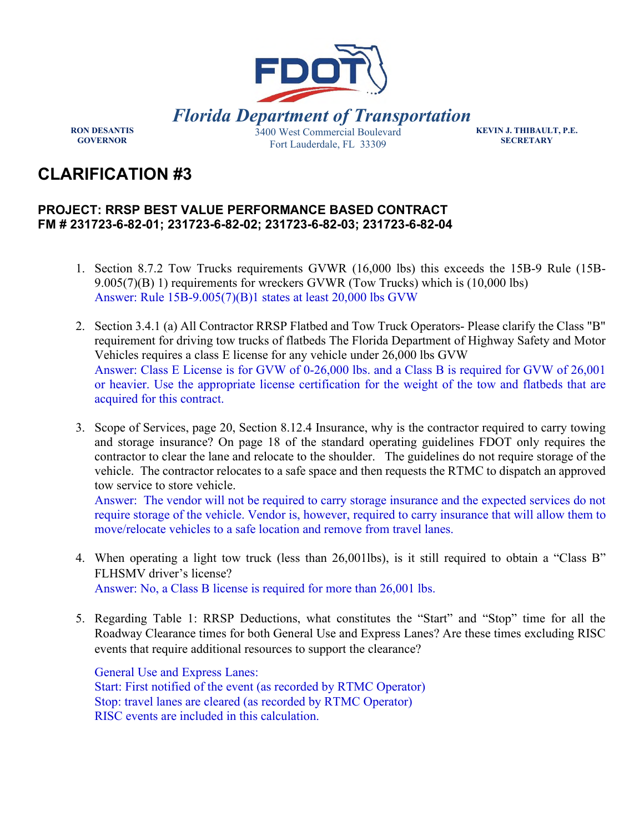

**RON DESANTIS GOVERNOR** 

**KEVIN J. THIBAULT, P.E. SECRETARY** 

## **CLARIFICATION #3**

## **PROJECT: RRSP BEST VALUE PERFORMANCE BASED CONTRACT FM # 231723-6-82-01; 231723-6-82-02; 231723-6-82-03; 231723-6-82-04**

- 1. Section 8.7.2 Tow Trucks requirements GVWR (16,000 lbs) this exceeds the 15B-9 Rule (15B-9.005(7)(B) 1) requirements for wreckers GVWR (Tow Trucks) which is (10,000 lbs) Answer: Rule 15B-9.005(7)(B)1 states at least 20,000 lbs GVW
- 2. Section 3.4.1 (a) All Contractor RRSP Flatbed and Tow Truck Operators- Please clarify the Class "B" requirement for driving tow trucks of flatbeds The Florida Department of Highway Safety and Motor Vehicles requires a class E license for any vehicle under 26,000 lbs GVW Answer: Class E License is for GVW of 0-26,000 lbs. and a Class B is required for GVW of 26,001 or heavier. Use the appropriate license certification for the weight of the tow and flatbeds that are acquired for this contract.
- 3. Scope of Services, page 20, Section 8.12.4 Insurance, why is the contractor required to carry towing and storage insurance? On page 18 of the standard operating guidelines FDOT only requires the contractor to clear the lane and relocate to the shoulder. The guidelines do not require storage of the vehicle. The contractor relocates to a safe space and then requests the RTMC to dispatch an approved tow service to store vehicle.

Answer: The vendor will not be required to carry storage insurance and the expected services do not require storage of the vehicle. Vendor is, however, required to carry insurance that will allow them to move/relocate vehicles to a safe location and remove from travel lanes.

- 4. When operating a light tow truck (less than 26,001lbs), is it still required to obtain a "Class B" FLHSMV driver's license? Answer: No, a Class B license is required for more than 26,001 lbs.
- 
- 5. Regarding Table 1: RRSP Deductions, what constitutes the "Start" and "Stop" time for all the Roadway Clearance times for both General Use and Express Lanes? Are these times excluding RISC events that require additional resources to support the clearance?

General Use and Express Lanes: Start: First notified of the event (as recorded by RTMC Operator) Stop: travel lanes are cleared (as recorded by RTMC Operator) RISC events are included in this calculation.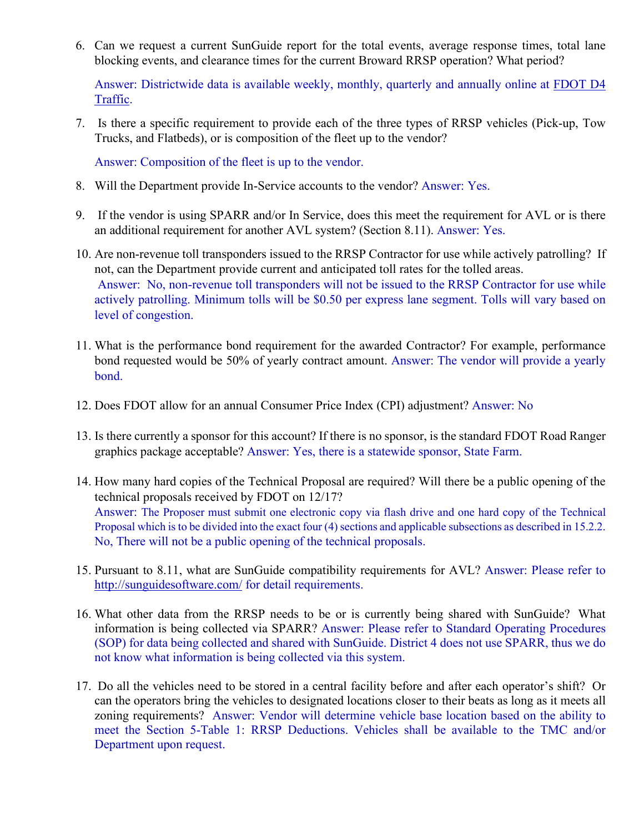6. Can we request a current SunGuide report for the total events, average response times, total lane blocking events, and clearance times for the current Broward RRSP operation? What period?

Answer: Districtwide data is available weekly, monthly, quarterly and annually online at [FDOT D4](https://gcc02.safelinks.protection.outlook.com/?url=https%3A%2F%2Fwww.fdotd4traffic.com%2F%23%2Fapp%2Fmetrics&data=04%7C01%7CAlexandra.Lopez%40dot.state.fl.us%7C969814dd738343eb84d008d99e3d5f6c%7Cdb21de5dbc9c420c8f3f8f08f85b5ada%7C0%7C0%7C637714808688215577%7CUnknown%7CTWFpbGZsb3d8eyJWIjoiMC4wLjAwMDAiLCJQIjoiV2luMzIiLCJBTiI6Ik1haWwiLCJXVCI6Mn0%3D%7C1000&sdata=kT1agT82njBd10ByH22uGC5KHXH9GUvwMxNqYGoWASU%3D&reserved=0)  [Traffic.](https://gcc02.safelinks.protection.outlook.com/?url=https%3A%2F%2Fwww.fdotd4traffic.com%2F%23%2Fapp%2Fmetrics&data=04%7C01%7CAlexandra.Lopez%40dot.state.fl.us%7C969814dd738343eb84d008d99e3d5f6c%7Cdb21de5dbc9c420c8f3f8f08f85b5ada%7C0%7C0%7C637714808688215577%7CUnknown%7CTWFpbGZsb3d8eyJWIjoiMC4wLjAwMDAiLCJQIjoiV2luMzIiLCJBTiI6Ik1haWwiLCJXVCI6Mn0%3D%7C1000&sdata=kT1agT82njBd10ByH22uGC5KHXH9GUvwMxNqYGoWASU%3D&reserved=0)

7. Is there a specific requirement to provide each of the three types of RRSP vehicles (Pick-up, Tow Trucks, and Flatbeds), or is composition of the fleet up to the vendor?

Answer: Composition of the fleet is up to the vendor.

- 8. Will the Department provide In-Service accounts to the vendor? Answer: Yes.
- 9. If the vendor is using SPARR and/or In Service, does this meet the requirement for AVL or is there an additional requirement for another AVL system? (Section 8.11). Answer: Yes.
- 10. Are non-revenue toll transponders issued to the RRSP Contractor for use while actively patrolling? If not, can the Department provide current and anticipated toll rates for the tolled areas. Answer: No, non-revenue toll transponders will not be issued to the RRSP Contractor for use while actively patrolling. Minimum tolls will be \$0.50 per express lane segment. Tolls will vary based on level of congestion.
- 11. What is the performance bond requirement for the awarded Contractor? For example, performance bond requested would be 50% of yearly contract amount. Answer: The vendor will provide a yearly bond.
- 12. Does FDOT allow for an annual Consumer Price Index (CPI) adjustment? Answer: No
- 13. Is there currently a sponsor for this account? If there is no sponsor, is the standard FDOT Road Ranger graphics package acceptable? Answer: Yes, there is a statewide sponsor, State Farm.
- 14. How many hard copies of the Technical Proposal are required? Will there be a public opening of the technical proposals received by FDOT on 12/17? Answer: The Proposer must submit one electronic copy via flash drive and one hard copy of the Technical Proposal which is to be divided into the exact four (4) sections and applicable subsections as described in 15.2.2. No, There will not be a public opening of the technical proposals.
- 15. Pursuant to 8.11, what are SunGuide compatibility requirements for AVL? Answer: Please refer to <http://sunguidesoftware.com/>for detail requirements.
- 16. What other data from the RRSP needs to be or is currently being shared with SunGuide? What information is being collected via SPARR? Answer: Please refer to Standard Operating Procedures (SOP) for data being collected and shared with SunGuide. District 4 does not use SPARR, thus we do not know what information is being collected via this system.
- 17. Do all the vehicles need to be stored in a central facility before and after each operator's shift? Or can the operators bring the vehicles to designated locations closer to their beats as long as it meets all zoning requirements? Answer: Vendor will determine vehicle base location based on the ability to meet the Section 5-Table 1: RRSP Deductions. Vehicles shall be available to the TMC and/or Department upon request.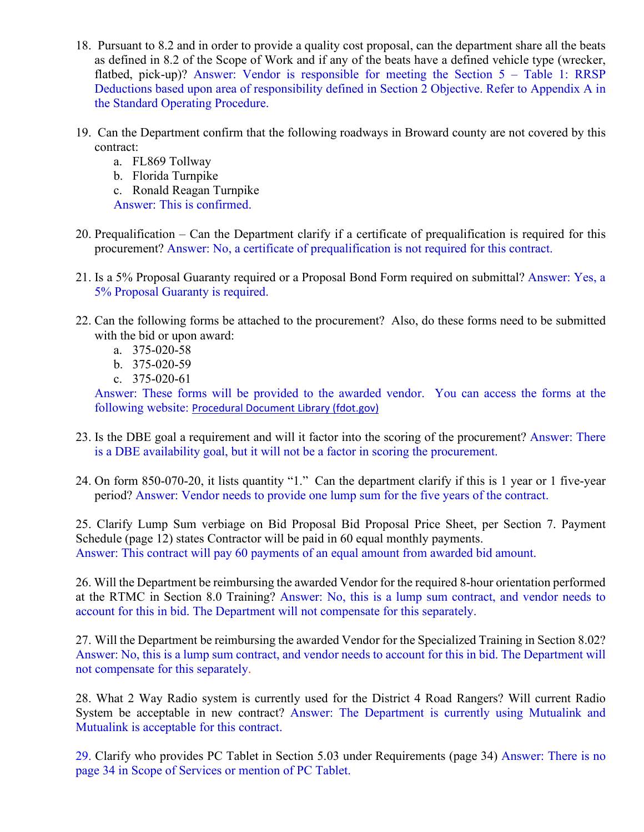- 18. Pursuant to 8.2 and in order to provide a quality cost proposal, can the department share all the beats as defined in 8.2 of the Scope of Work and if any of the beats have a defined vehicle type (wrecker, flatbed, pick-up)? Answer: Vendor is responsible for meeting the Section 5 – Table 1: RRSP Deductions based upon area of responsibility defined in Section 2 Objective. Refer to Appendix A in the Standard Operating Procedure.
- 19. Can the Department confirm that the following roadways in Broward county are not covered by this contract:
	- a. FL869 Tollway
	- b. Florida Turnpike
	- c. Ronald Reagan Turnpike
	- Answer: This is confirmed.
- 20. Prequalification Can the Department clarify if a certificate of prequalification is required for this procurement? Answer: No, a certificate of prequalification is not required for this contract.
- 21. Is a 5% Proposal Guaranty required or a Proposal Bond Form required on submittal? Answer: Yes, a 5% Proposal Guaranty is required.
- 22. Can the following forms be attached to the procurement? Also, do these forms need to be submitted with the bid or upon award:
	- a. 375-020-58
	- b. 375-020-59
	- c. 375-020-61

Answer: These forms will be provided to the awarded vendor. You can access the forms at the following website: [Procedural Document Library \(fdot.gov\)](https://pdl.fdot.gov/)

- 23. Is the DBE goal a requirement and will it factor into the scoring of the procurement? Answer: There is a DBE availability goal, but it will not be a factor in scoring the procurement.
- 24. On form 850-070-20, it lists quantity "1." Can the department clarify if this is 1 year or 1 five-year period? Answer: Vendor needs to provide one lump sum for the five years of the contract.

25. Clarify Lump Sum verbiage on Bid Proposal Bid Proposal Price Sheet, per Section 7. Payment Schedule (page 12) states Contractor will be paid in 60 equal monthly payments. Answer: This contract will pay 60 payments of an equal amount from awarded bid amount.

26. Will the Department be reimbursing the awarded Vendor for the required 8-hour orientation performed at the RTMC in Section 8.0 Training? Answer: No, this is a lump sum contract, and vendor needs to account for this in bid. The Department will not compensate for this separately.

27. Will the Department be reimbursing the awarded Vendor for the Specialized Training in Section 8.02? Answer: No, this is a lump sum contract, and vendor needs to account for this in bid. The Department will not compensate for this separately.

28. What 2 Way Radio system is currently used for the District 4 Road Rangers? Will current Radio System be acceptable in new contract? Answer: The Department is currently using Mutualink and Mutualink is acceptable for this contract.

29. Clarify who provides PC Tablet in Section 5.03 under Requirements (page 34) Answer: There is no page 34 in Scope of Services or mention of PC Tablet.